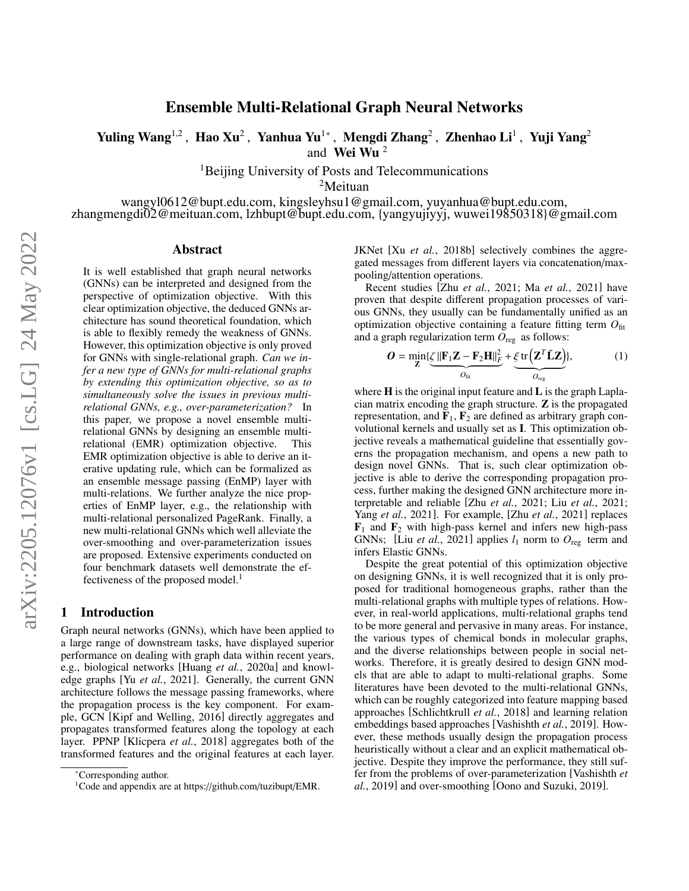# Ensemble Multi-Relational Graph Neural Networks

<span id="page-0-0"></span>Yuling Wang $^{1,2}$ , Hao Xu $^2$ , Yanhua Yu $^{1*}$ , Mengdi Zhang $^2$ , Zhenhao Li $^1$ , Yuji Yang $^2$ and Wei Wu <sup>2</sup>

<sup>1</sup>Beijing University of Posts and Telecommunications

<sup>2</sup>Meituan

wangyl0612@bupt.edu.com, kingsleyhsu1@gmail.com, yuyanhua@bupt.edu.com,

zhangmengdi02@meituan.com, lzhbupt@bupt.edu.com, {yangyujiyyj, wuwei19850318}@gmail.com

### Abstract

It is well established that graph neural networks (GNNs) can be interpreted and designed from the perspective of optimization objective. With this clear optimization objective, the deduced GNNs architecture has sound theoretical foundation, which is able to flexibly remedy the weakness of GNNs. However, this optimization objective is only proved for GNNs with single-relational graph. *Can we infer a new type of GNNs for multi-relational graphs by extending this optimization objective, so as to simultaneously solve the issues in previous multirelational GNNs, e.g., over-parameterization?* In this paper, we propose a novel ensemble multirelational GNNs by designing an ensemble multirelational (EMR) optimization objective. This EMR optimization objective is able to derive an iterative updating rule, which can be formalized as an ensemble message passing (EnMP) layer with multi-relations. We further analyze the nice properties of EnMP layer, e.g., the relationship with multi-relational personalized PageRank. Finally, a new multi-relational GNNs which well alleviate the over-smoothing and over-parameterization issues are proposed. Extensive experiments conducted on four benchmark datasets well demonstrate the effectiveness of the proposed model.<sup>1</sup>

## 1 Introduction

Graph neural networks (GNNs), which have been applied to a large range of downstream tasks, have displayed superior performance on dealing with graph data within recent years, e.g., biological networks [Huang *et al.*[, 2020a\]](#page-6-0) and knowledge graphs [Yu *et al.*[, 2021\]](#page-6-1). Generally, the current GNN architecture follows the message passing frameworks, where the propagation process is the key component. For example, GCN [\[Kipf and Welling, 2016\]](#page-6-2) directly aggregates and propagates transformed features along the topology at each layer. PPNP [\[Klicpera](#page-6-3) *et al.*, 2018] aggregates both of the transformed features and the original features at each layer. JKNet [Xu *et al.*[, 2018b\]](#page-6-4) selectively combines the aggregated messages from different layers via concatenation/maxpooling/attention operations.

Recent studies [Zhu *et al.*[, 2021;](#page-6-5) Ma *et al.*[, 2021\]](#page-6-6) have proven that despite different propagation processes of various GNNs, they usually can be fundamentally unified as an optimization objective containing a feature fitting term  $O_{\text{fit}}$ and a graph regularization term  $O_{\text{reg}}$  as follows:

$$
O = \min_{\mathbf{Z}} \{ \underbrace{\|\mathbf{F}_1 \mathbf{Z} - \mathbf{F}_2 \mathbf{H}\|_F^2}_{O_{\text{fit}}} + \underbrace{\xi \operatorname{tr} \left(\mathbf{Z}^T \tilde{\mathbf{L}} \mathbf{Z}\right)}_{O_{\text{reg}}\},\tag{1}
$$

where  $H$  is the original input feature and  $L$  is the graph Laplacian matrix encoding the graph structure.  $\bf{Z}$  is the propagated representation, and  $\mathbf{F}_1$ ,  $\mathbf{F}_2$  are defined as arbitrary graph convolutional kernels and usually set as I. This optimization objective reveals a mathematical guideline that essentially governs the propagation mechanism, and opens a new path to design novel GNNs. That is, such clear optimization objective is able to derive the corresponding propagation process, further making the designed GNN architecture more interpretable and reliable [Zhu *et al.*[, 2021;](#page-6-5) Liu *et al.*[, 2021;](#page-6-7) Yang *et al.*[, 2021\]](#page-6-8). For example, [Zhu *et al.*[, 2021\]](#page-6-5) replaces  $\mathbf{F}_1$  and  $\mathbf{F}_2$  with high-pass kernel and infers new high-pass GNNs; [Liu *et al.*[, 2021\]](#page-6-7) applies  $l_1$  norm to  $O_{reg}$  term and infers Elastic GNNs.

Despite the great potential of this optimization objective on designing GNNs, it is well recognized that it is only proposed for traditional homogeneous graphs, rather than the multi-relational graphs with multiple types of relations. However, in real-world applications, multi-relational graphs tend to be more general and pervasive in many areas. For instance, the various types of chemical bonds in molecular graphs, and the diverse relationships between people in social networks. Therefore, it is greatly desired to design GNN models that are able to adapt to multi-relational graphs. Some literatures have been devoted to the multi-relational GNNs, which can be roughly categorized into feature mapping based approaches [\[Schlichtkrull](#page-6-9) *et al.*, 2018] and learning relation embeddings based approaches [\[Vashishth](#page-6-10) *et al.*, 2019]. However, these methods usually design the propagation process heuristically without a clear and an explicit mathematical objective. Despite they improve the performance, they still suffer from the problems of over-parameterization [\[Vashishth](#page-6-10) *et al.*[, 2019\]](#page-6-10) and over-smoothing [\[Oono and Suzuki, 2019\]](#page-6-11).

<sup>∗</sup>Corresponding author.

<sup>&</sup>lt;sup>1</sup>Code and appendix are at https://[github.com](https://github.com/tuzibupt/EMR)/tuzibupt/EMR.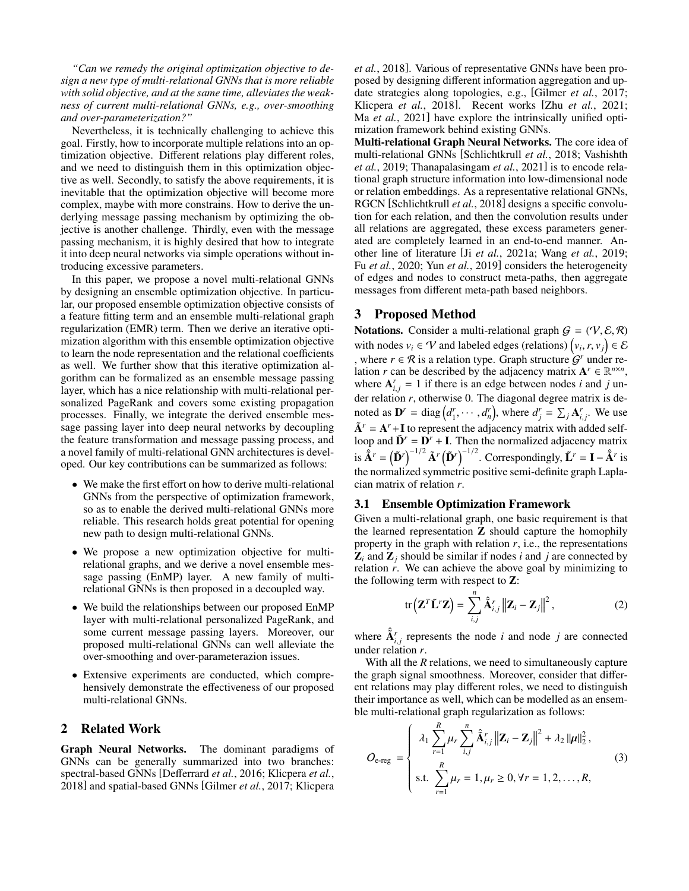*"Can we remedy the original optimization objective to design a new type of multi-relational GNNs that is more reliable with solid objective, and at the same time, alleviates the weakness of current multi-relational GNNs, e.g., over-smoothing and over-parameterization?"*

Nevertheless, it is technically challenging to achieve this goal. Firstly, how to incorporate multiple relations into an optimization objective. Different relations play different roles, and we need to distinguish them in this optimization objective as well. Secondly, to satisfy the above requirements, it is inevitable that the optimization objective will become more complex, maybe with more constrains. How to derive the underlying message passing mechanism by optimizing the objective is another challenge. Thirdly, even with the message passing mechanism, it is highly desired that how to integrate it into deep neural networks via simple operations without introducing excessive parameters.

In this paper, we propose a novel multi-relational GNNs by designing an ensemble optimization objective. In particular, our proposed ensemble optimization objective consists of a feature fitting term and an ensemble multi-relational graph regularization (EMR) term. Then we derive an iterative optimization algorithm with this ensemble optimization objective to learn the node representation and the relational coefficients as well. We further show that this iterative optimization algorithm can be formalized as an ensemble message passing layer, which has a nice relationship with multi-relational personalized PageRank and covers some existing propagation processes. Finally, we integrate the derived ensemble message passing layer into deep neural networks by decoupling the feature transformation and message passing process, and a novel family of multi-relational GNN architectures is developed. Our key contributions can be summarized as follows:

- We make the first effort on how to derive multi-relational GNNs from the perspective of optimization framework, so as to enable the derived multi-relational GNNs more reliable. This research holds great potential for opening new path to design multi-relational GNNs.
- We propose a new optimization objective for multirelational graphs, and we derive a novel ensemble message passing (EnMP) layer. A new family of multirelational GNNs is then proposed in a decoupled way.
- We build the relationships between our proposed EnMP layer with multi-relational personalized PageRank, and some current message passing layers. Moreover, our proposed multi-relational GNNs can well alleviate the over-smoothing and over-parameterazion issues.
- Extensive experiments are conducted, which comprehensively demonstrate the effectiveness of our proposed multi-relational GNNs.

## 2 Related Work

Graph Neural Networks. The dominant paradigms of GNNs can be generally summarized into two branches: spectral-based GNNs [Defferrard *et al.*[, 2016;](#page-6-12) [Klicpera](#page-6-3) *et al.*, [2018\]](#page-6-3) and spatial-based GNNs [\[Gilmer](#page-6-13) *et al.*, 2017; [Klicpera](#page-6-3) *et al.*[, 2018\]](#page-6-3). Various of representative GNNs have been proposed by designing different information aggregation and update strategies along topologies, e.g., [\[Gilmer](#page-6-13) *et al.*, 2017; [Klicpera](#page-6-3) *et al.*, 2018]. Recent works [Zhu *et al.*[, 2021;](#page-6-5) Ma *et al.*[, 2021\]](#page-6-6) have explore the intrinsically unified optimization framework behind existing GNNs.

Multi-relational Graph Neural Networks. The core idea of multi-relational GNNs [\[Schlichtkrull](#page-6-9) *et al.*, 2018; [Vashishth](#page-6-10) *et al.*[, 2019;](#page-6-10) [Thanapalasingam](#page-6-14) *et al.*, 2021] is to encode relational graph structure information into low-dimensional node or relation embeddings. As a representative relational GNNs, RGCN [\[Schlichtkrull](#page-6-9) *et al.*, 2018] designs a specific convolution for each relation, and then the convolution results under all relations are aggregated, these excess parameters generated are completely learned in an end-to-end manner. Another line of literature [Ji *et al.*[, 2021a;](#page-6-15) Wang *et al.*[, 2019;](#page-6-16) Fu *et al.*[, 2020;](#page-6-17) Yun *et al.*[, 2019\]](#page-6-18) considers the heterogeneity of edges and nodes to construct meta-paths, then aggregate messages from different meta-path based neighbors.

## 3 Proposed Method

Notations. Consider a multi-relational graph  $G = (\mathcal{V}, \mathcal{E}, \mathcal{R})$ with nodes  $v_i \in V$  and labeled edges (relations)  $(v_i, r, v_j) \in \mathcal{E}$ <br>where  $r \in \mathcal{P}$  is a relation type. Graph structure  $G'$  under re-, where  $r \in \mathcal{R}$  is a relation type. Graph structure  $\mathcal{G}^r$  under relation *r* can be described by the adjacency matrix  $A^r \in \mathbb{R}^{n \times n}$ , where  $A_{i}^{r} = 1$  if there is an edge between nodes *i* and *j* unwhere  $A_{i,j} = 1$  if there is an edge between hodes  $i$  and  $j$  different relation  $r$ , otherwise 0. The diagonal degree matrix is denoted as  $\mathbf{D}^r = \text{diag}(d_1^r, \dots, d_n^r)$ , where  $d_j^r = \sum_j \mathbf{A}_{i,j}^r$ . We use  $\tilde{A}^r = A^r + I$  to represent the adjacency matrix with added selfloop and  $\tilde{\mathbf{D}}^r = \mathbf{D}^r + \mathbf{I}$ . Then the normalized adjacency matrix is  $\hat{\mathbf{A}}^r = (\tilde{\mathbf{D}}^r)^{-1/2} \tilde{\mathbf{A}}^r (\tilde{\mathbf{D}}^r)^{-1/2}$ . Correspondingly,  $\tilde{\mathbf{L}}^r = \mathbf{I} - \hat{\mathbf{A}}^r$  is the normalized symmetric positive semi-definite graph Laplacian matrix of relation *r*.

#### 3.1 Ensemble Optimization Framework

Given a multi-relational graph, one basic requirement is that the learned representation  $Z$  should capture the homophily property in the graph with relation *r*, i.e., the representations  $\mathbf{Z}_i$  and  $\mathbf{Z}_j$  should be similar if nodes *i* and *j* are connected by relation *r*. We can achieve the above goal by minimizing to the following term with respect to Z:

$$
\operatorname{tr}\left(\mathbf{Z}^T\tilde{\mathbf{L}}^r\mathbf{Z}\right)=\sum_{i,j}^n\hat{\mathbf{A}}_{i,j}^r\left\|\mathbf{Z}_i-\mathbf{Z}_j\right\|^2,\tag{2}
$$

where  $\hat{A}_{i}^{r}$  represents the node *i* and node *j* are connected where  $A_{i,j}$  represents the *r*.

With all the *R* relations, we need to simultaneously capture the graph signal smoothness. Moreover, consider that different relations may play different roles, we need to distinguish their importance as well, which can be modelled as an ensemble multi-relational graph regularization as follows:

$$
O_{\text{e-reg}} = \begin{cases} \lambda_1 \sum_{r=1}^{R} \mu_r \sum_{i,j}^{n} \hat{\mathbf{A}}_{i,j}^r ||\mathbf{Z}_i - \mathbf{Z}_j||^2 + \lambda_2 ||\mu||_2^2, \\ \text{s.t.} \sum_{r=1}^{R} \mu_r = 1, \mu_r \ge 0, \forall r = 1, 2, ..., R, \end{cases}
$$
(3)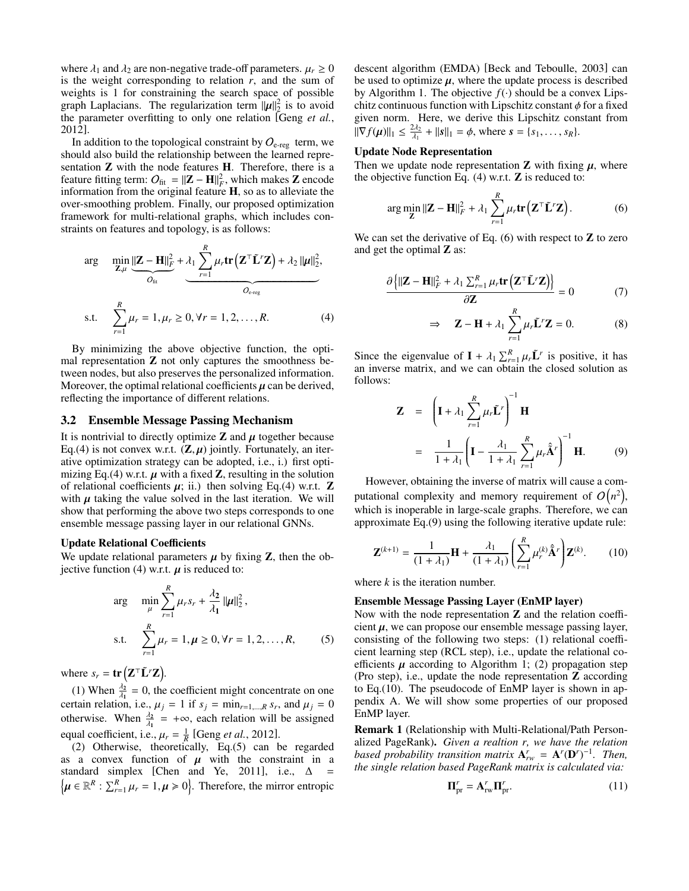where  $\lambda_1$  and  $\lambda_2$  are non-negative trade-off parameters.  $\mu_r \geq 0$ is the weight corresponding to relation  $r$ , and the sum of weights is 1 for constraining the search space of possible graph Laplacians. The regularization term  $\|\mu\|_2^2$  is to avoid<br>the parameter overfitting to only one relation (Geng *et al*) the parameter overfitting to only one relation [\[Geng](#page-6-19) *et al.*, [2012\]](#page-6-19).

In addition to the topological constraint by  $O_{e-reg}$  term, we should also build the relationship between the learned representation Z with the node features H. Therefore, there is a feature fitting term:  $O_{\hat{h}t} = ||\mathbf{Z} - \mathbf{H}||_F^2$ , which makes **Z** encode information from the original feature H, so as to alleviate the over-smoothing problem. Finally, our proposed optimization framework for multi-relational graphs, which includes constraints on features and topology, is as follows:

<span id="page-2-0"></span>arg 
$$
\min_{\mathbf{Z},\mu} \underbrace{\|\mathbf{Z} - \mathbf{H}\|_F^2}_{O_{\text{fit}}} + \underbrace{\lambda_1 \sum_{r=1}^R \mu_r \mathbf{tr} \left( \mathbf{Z}^\top \tilde{\mathbf{L}}^r \mathbf{Z} \right) + \lambda_2 \|\mu\|_2^2}_{O_{\text{erg}}},
$$
  
s.t. 
$$
\sum_{r=1}^R \mu_r = 1, \mu_r \ge 0, \forall r = 1, 2, ..., R. \tag{4}
$$

By minimizing the above objective function, the optimal representation  $Z$  not only captures the smoothness between nodes, but also preserves the personalized information. Moreover, the optimal relational coefficients  $\mu$  can be derived, reflecting the importance of different relations.

#### 3.2 Ensemble Message Passing Mechanism

It is nontrivial to directly optimize  $\mathbf Z$  and  $\boldsymbol{\mu}$  together because Eq.[\(4\)](#page-2-0) is not convex w.r.t.  $(\mathbb{Z}, \mu)$  jointly. Fortunately, an iterative optimization strategy can be adopted, i.e., i.) first opti-mizing Eq.[\(4\)](#page-2-0) w.r.t.  $\mu$  with a fixed **Z**, resulting in the solution of relational coefficients  $\mu$ ; ii.) then solving Eq.[\(4\)](#page-2-0) w.r.t.  $\mathbf Z$ with  $\mu$  taking the value solved in the last iteration. We will show that performing the above two steps corresponds to one ensemble message passing layer in our relational GNNs.

#### Update Relational Coefficients

We update relational parameters  $\mu$  by fixing  $\mathbb{Z}$ , then the ob-jective function [\(4\)](#page-2-0) w.r.t.  $\mu$  is reduced to:

<span id="page-2-1"></span>arg 
$$
\min_{\mu} \sum_{r=1}^{R} \mu_r s_r + \frac{\lambda_2}{\lambda_1} ||\mu||_2^2
$$
,  
s.t.  $\sum_{r=1}^{R} \mu_r = 1, \mu \ge 0, \forall r = 1, 2, ..., R,$  (5)

where  $s_r = \text{tr}(\mathbf{Z}^\top \tilde{\mathbf{L}}^r \mathbf{Z})$ .

(1) When  $\frac{\lambda_2}{\lambda_1} = 0$ , the coefficient might concentrate on one<br>train relation i.e.,  $\mu_1 - 1$  if  $s_1 - \min_{n \ge 0} s_n$  and  $\mu_2 - 0$ certain relation, i.e.,  $\mu_j = 1$  if  $s_j = \min_{r=1,\dots,R} s_r$ , and  $\mu_j = 0$ <br>otherwise. When  $\frac{\lambda_2}{\lambda_1} = +\infty$ , each relation will be assigned<br>caused so figure i.e.  $\mu_j = 1$  [Cana at  $\mu_j = 20121$ ] equal coefficient, i.e.,  $\mu_r = \frac{1}{R}$  [Geng *et al.*[, 2012\]](#page-6-19).<br>(2) Otherwise theoretically Fq. (5) can b

(2) Otherwise, theoretically, Eq.[\(5\)](#page-2-1) can be regarded as a convex function of  $\mu$  with the constraint in a standard simplex [\[Chen and Ye, 2011\]](#page-6-20), i.e.,  $\Delta$  =  $\left\{ \mu \in \mathbb{R}^R : \sum_{r=1}^R \mu_r = 1, \mu \geq 0 \right\}$ . Therefore, the mirror entropic descent algorithm (EMDA) [\[Beck and Teboulle, 2003\]](#page-6-21) can be used to optimize  $\mu$ , where the update process is described by Algorithm [1.](#page-3-0) The objective  $f(\cdot)$  should be a convex Lipschitz continuous function with Lipschitz constant  $\phi$  for a fixed given norm. Here, we derive this Lipschitz constant from  $\|\nabla f(\boldsymbol{\mu})\|_1 \le \frac{2\lambda_2}{\lambda_1} + \|s\|_1 = \phi$ , where  $s = \{s_1, \ldots, s_R\}.$ 

#### Update Node Representation

Then we update node representation  $Z$  with fixing  $\mu$ , where the objective function Eq.  $(4)$  w.r.t.  $\mathbb{Z}$  is reduced to:

<span id="page-2-2"></span>
$$
\arg\min_{\mathbf{Z}} \|\mathbf{Z} - \mathbf{H}\|_F^2 + \lambda_1 \sum_{r=1}^R \mu_r \mathbf{tr}\left(\mathbf{Z}^\top \tilde{\mathbf{L}}^r \mathbf{Z}\right). \tag{6}
$$

We can set the derivative of Eq.  $(6)$  with respect to **Z** to zero and get the optimal Z as:

$$
\frac{\partial \left\{ \left\| \mathbf{Z} - \mathbf{H} \right\|_F^2 + \lambda_1 \sum_{r=1}^R \mu_r \mathbf{tr} \left( \mathbf{Z}^\top \tilde{\mathbf{L}}^r \mathbf{Z} \right) \right\}}{\partial \mathbf{Z}} = 0 \tag{7}
$$

$$
\Rightarrow \quad \mathbf{Z} - \mathbf{H} + \lambda_1 \sum_{r=1}^{R} \mu_r \tilde{\mathbf{L}}^r \mathbf{Z} = 0. \tag{8}
$$

Since the eigenvalue of  $I + \lambda_1 \sum_{r=1}^{R} \mu_r \tilde{L}^r$  is positive, it has an inverse matrix and we can obtain the closed solution as an inverse matrix, and we can obtain the closed solution as follows:

<span id="page-2-3"></span>
$$
\mathbf{Z} = \left(\mathbf{I} + \lambda_1 \sum_{r=1}^{R} \mu_r \tilde{\mathbf{L}}^r \right)^{-1} \mathbf{H}
$$

$$
= \frac{1}{1 + \lambda_1} \left(\mathbf{I} - \frac{\lambda_1}{1 + \lambda_1} \sum_{r=1}^{R} \mu_r \hat{\mathbf{A}}^r \right)^{-1} \mathbf{H}. \tag{9}
$$

However, obtaining the inverse of matrix will cause a computational complexity and memory requirement of  $O(n^2)$ , which is inoperable in large-scale graphs. Therefore, we can approximate Eq.[\(9\)](#page-2-3) using the following iterative update rule:

<span id="page-2-4"></span>
$$
\mathbf{Z}^{(k+1)} = \frac{1}{(1+\lambda_1)} \mathbf{H} + \frac{\lambda_1}{(1+\lambda_1)} \left( \sum_{r=1}^R \mu_r^{(k)} \hat{\mathbf{A}}^r \right) \mathbf{Z}^{(k)}.
$$
 (10)

where *k* is the iteration number.

#### Ensemble Message Passing Layer (EnMP layer)

Now with the node representation  $Z$  and the relation coefficient  $\mu$ , we can propose our ensemble message passing layer, consisting of the following two steps: (1) relational coefficient learning step (RCL step), i.e., update the relational coefficients  $\mu$  according to Algorithm [1;](#page-3-0) (2) propagation step (Pro step), i.e., update the node representation Z according to Eq.[\(10\)](#page-2-4). The pseudocode of EnMP layer is shown in appendix A. We will show some properties of our proposed EnMP layer.

<span id="page-2-5"></span>Remark 1 (Relationship with Multi-Relational/Path Personalized PageRank). *Given a realtion r, we have the relation based probability transition matrix*  $A_{rw}^r = A^r(D^r)^{-1}$ *. Then, the single relation based PageRank matrix is calculated via:*

$$
\Pi_{\text{pr}}^r = \mathbf{A}_{\text{rw}}^r \Pi_{\text{pr}}^r. \tag{11}
$$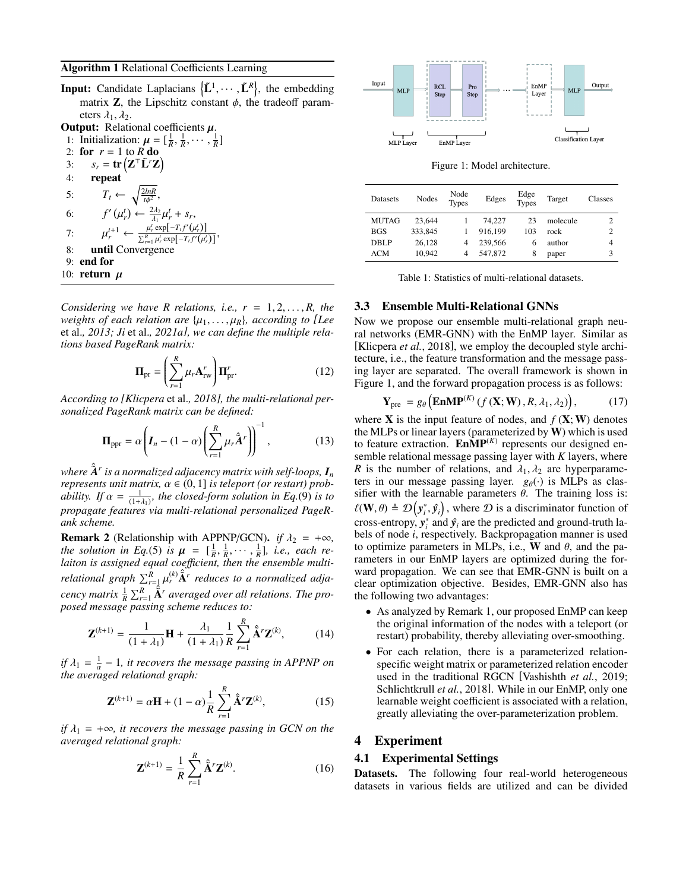- <span id="page-3-0"></span>**Input:** Candidate Laplacians  $\{\tilde{L}^1, \dots, \tilde{L}^R\}$ , the embedding matrix **7** the Linschitz constant  $\phi$  the tradeoff parameters matrix  $Z$ , the Lipschitz constant  $\phi$ , the tradeoff parameters  $\lambda_1, \lambda_2$ . **Output:** Relational coefficients  $\mu$ . 1: Initialization:  $\mu = \left[\frac{1}{R}\right]$ ,<br>2: for  $r = 1$  to R do.  $\frac{1}{R}$ ,  $\cdots$ ,  $\frac{1}{R}$ ] 2: for  $r = 1$  to  $R$  do 3:  $s_r = \text{tr}(\mathbf{Z}^\top \tilde{\mathbf{L}}^r \mathbf{Z})$ 4: repeat 5:  $T_t \leftarrow \sqrt{\frac{2lnR}{td^2}},$ *t*φ
- 6:  $f'(\mu)$  $\mu$ <sup>t</sup>) ←  $\frac{2\lambda_2}{\lambda_1} \mu$  $t_r$  +  $s_r$ , 7:  $\mu_r^{t+1} \leftarrow \frac{\mu_r^t \exp[-T_t f'(\mu_r^t)]}{\sum_{r=1}^R \mu_r^t \exp[-T_t f'(\mu_r^t)]}$  $\frac{\mu_r \exp[-T_t f(\mu_r)]}{\sum_{r=1}^R \mu_r^t \exp[-T_t f'(\mu_r^t)]},$ 8: until Convergence 9: end for
- 10: return  $\mu$

*Considering we have R relations, i.e.,*  $r = 1, 2, \ldots, R$ , the *weights of each relation are*  $\{\mu_1, \ldots, \mu_R\}$ *, according to [\[Lee](#page-6-22)* et al.*[, 2013;](#page-6-22) Ji* et al.*[, 2021a\]](#page-6-15), we can define the multiple relations based PageRank matrix:*

$$
\mathbf{\Pi}_{\text{pr}} = \left(\sum_{r=1}^{R} \mu_r \mathbf{A}_{\text{rw}}^r \right) \mathbf{\Pi}_{\text{pr}}^r. \tag{12}
$$

*According to [\[Klicpera](#page-6-3)* et al.*, 2018], the multi-relational personalized PageRank matrix can be defined:*

$$
\mathbf{\Pi}_{\text{ppr}} = \alpha \left( \mathbf{I}_n - (1 - \alpha) \left( \sum_{r=1}^R \mu_r \hat{\mathbf{A}}^r \right) \right)^{-1}, \tag{13}
$$

where  $\hat{\textbf{A}}^{r}$  is a normalized adjacency matrix with self-loops,  $\textbf{I}_n$ *represents unit matrix,*  $\alpha \in (0, 1]$  *is teleport (or restart) probability.* If  $\alpha = \frac{1}{(1+\lambda_1)}$ , the closed-form solution in Eq.[\(9\)](#page-2-3) is to<br>propagate features via multi-relational personalized PageR (1+λ1) *propagate features via multi-relational personalized PageRank scheme.*

**Remark 2** (Relationship with APPNP/GCN). *if*  $\lambda_2 = +\infty$ , *the solution in Eq.* (5) *is*  $\mu = \begin{bmatrix} \frac{1}{2} & \frac{1}{2} & \cdots & \frac{1}{2} \end{bmatrix}$  *i.e. each rethe solution in Eq.*[\(5\)](#page-2-1) *is*  $\mu = \left[\frac{1}{R},\right]$ <br>*laiton is assigned equal coefficient*  $\frac{1}{R}$ ,  $\cdots$ ,  $\frac{1}{R}$ ], *i.e.*, *each re-*<br>*then the ensemble multilaiton is assigned equal coe*ffi*cient, then the ensemble multirelational graph*  $\sum_{r=1}^{R} \mu$  $_{r}^{(k)}\hat{\mathbf{A}}^{r}$  reduces to a normalized adja*cency matrix*  $\frac{1}{R} \sum_{r=1}^{R} \hat{A}^{r}$  *averaged over all relations. The proposed message passing scheme reduces to:*

$$
\mathbf{Z}^{(k+1)} = \frac{1}{(1+\lambda_1)} \mathbf{H} + \frac{\lambda_1}{(1+\lambda_1)} \frac{1}{R} \sum_{r=1}^{R} \hat{\mathbf{A}}^r \mathbf{Z}^{(k)},
$$
(14)

if  $\lambda_1 = \frac{1}{\alpha} - 1$ , it recovers the message passing in APPNP on<br>the averaged relational graph α *the averaged relational graph:*

$$
\mathbf{Z}^{(k+1)} = \alpha \mathbf{H} + (1 - \alpha) \frac{1}{R} \sum_{r=1}^{R} \hat{\mathbf{A}}^{r} \mathbf{Z}^{(k)},
$$
(15)

*if*  $\lambda_1$  = + $\infty$ *, it recovers the message passing in GCN on the averaged relational graph:*

$$
\mathbf{Z}^{(k+1)} = \frac{1}{R} \sum_{r=1}^{R} \hat{\mathbf{A}}^{r} \mathbf{Z}^{(k)}.
$$
 (16)

<span id="page-3-1"></span>

Figure 1: Model architecture.

<span id="page-3-2"></span>

| <b>Datasets</b> | <b>Nodes</b> | Node<br><b>Types</b> | Edges   | Edge<br>Types | Target   | Classes |
|-----------------|--------------|----------------------|---------|---------------|----------|---------|
| <b>MUTAG</b>    | 23.644       |                      | 74.227  | 23            | molecule | 2       |
| <b>BGS</b>      | 333,845      |                      | 916.199 | 103           | rock     | 2       |
| DBLP            | 26.128       | 4                    | 239,566 | 6             | author   | 4       |
| <b>ACM</b>      | 10,942       | 4                    | 547,872 | 8             | paper    | 3       |

Table 1: Statistics of multi-relational datasets.

### 3.3 Ensemble Multi-Relational GNNs

Now we propose our ensemble multi-relational graph neural networks (EMR-GNN) with the EnMP layer. Similar as [\[Klicpera](#page-6-3) *et al.*, 2018], we employ the decoupled style architecture, i.e., the feature transformation and the message passing layer are separated. The overall framework is shown in Figure [1,](#page-3-1) and the forward propagation process is as follows:

$$
\mathbf{Y}_{\text{pre}} = g_{\theta} \left( \mathbf{EnMP}^{(K)} \left( f \left( \mathbf{X}; \mathbf{W} \right), R, \lambda_1, \lambda_2 \right) \right), \tag{17}
$$

where **X** is the input feature of nodes, and  $f(\mathbf{X}; \mathbf{W})$  denotes the MLPs or linear layers (parameterized by W) which is used to feature extraction.  $\mathbf{EnMP}^{(K)}$  represents our designed ensemble relational message passing layer with *K* layers, where *R* is the number of relations, and  $\lambda_1, \lambda_2$  are hyperparameters in our message passing layer.  $g_{\theta}(\cdot)$  is MLPs as classifier with the learnable parameters  $\theta$ . The training loss is:  $\ell(\mathbf{W}, \theta) \triangleq \mathcal{D}(\mathbf{y}_i^*, \hat{\mathbf{y}}_i)$ , where  $\mathcal{D}$  is a discriminator function of cross entropy  $\mathbf{y}_i^*$  and  $\hat{\mathbf{y}}_i$  are the predicted and ground truth la cross-entropy,  $y_i^*$  and  $\hat{y_i}$  are the predicted and ground-truth labels of node *i*, respectively. Backpropagation manner is used to optimize parameters in MLPs, i.e., W and  $\theta$ , and the parameters in our EnMP layers are optimized during the forward propagation. We can see that EMR-GNN is built on a clear optimization objective. Besides, EMR-GNN also has the following two advantages:

- As analyzed by Remark [1,](#page-2-5) our proposed EnMP can keep the original information of the nodes with a teleport (or restart) probability, thereby alleviating over-smoothing.
- For each relation, there is a parameterized relationspecific weight matrix or parameterized relation encoder used in the traditional RGCN [\[Vashishth](#page-6-10) *et al.*, 2019; [Schlichtkrull](#page-6-9) *et al.*, 2018]. While in our EnMP, only one learnable weight coefficient is associated with a relation, greatly alleviating the over-parameterization problem.

### 4 Experiment

## 4.1 Experimental Settings

Datasets. The following four real-world heterogeneous datasets in various fields are utilized and can be divided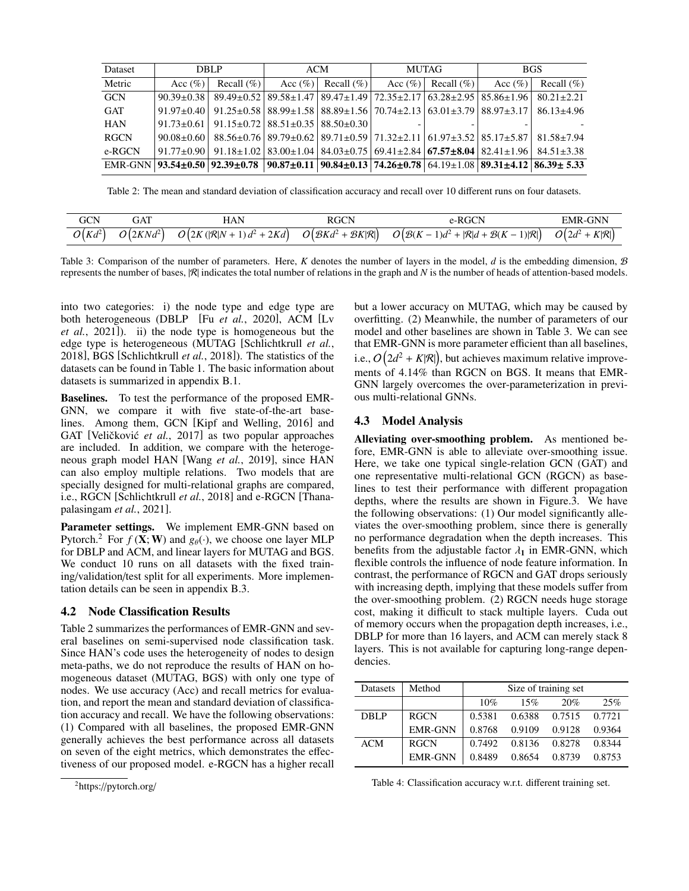<span id="page-4-0"></span>

| Dataset        | <b>DBLP</b>      |                                                                                                                                         | <b>ACM</b> |               | <b>MUTAG</b> |                                                                                                     | <b>BGS</b> |                  |
|----------------|------------------|-----------------------------------------------------------------------------------------------------------------------------------------|------------|---------------|--------------|-----------------------------------------------------------------------------------------------------|------------|------------------|
| Metric         | Acc $(\% )$      | Recall $(\%)$                                                                                                                           | Acc $(\%)$ | Recall $(\%)$ | Acc $(\% )$  | Recall $(\%)$                                                                                       | Acc $(\%)$ | Recall $(\% )$   |
| <b>GCN</b>     | $90.39 + 0.38$   |                                                                                                                                         |            |               |              | $89.49\pm0.52$ $89.58\pm1.47$ $89.47\pm1.49$ $72.35\pm2.17$ $63.28\pm2.95$ $85.86\pm1.96$           |            | $80.21 \pm 2.21$ |
| <b>GAT</b>     | $91.97 \pm 0.40$ | $91.25\pm0.58$   88.99 $\pm1.58$   88.89 $\pm1.56$   70.74 $\pm2.13$   63.01 $\pm3.79$   88.97 $\pm3.17$                                |            |               |              |                                                                                                     |            | $86.13 \pm 4.96$ |
| <b>HAN</b>     | $91.73 \pm 0.61$ | $91.15\pm0.72$   $88.51\pm0.35$   $88.50\pm0.30$                                                                                        |            |               |              |                                                                                                     |            |                  |
| <b>RGCN</b>    | $90.08 \pm 0.60$ |                                                                                                                                         |            |               |              | $88.56\pm0.76$   $89.79\pm0.62$   $89.71\pm0.59$   $71.32\pm2.11$   $61.97\pm3.52$   $85.17\pm5.87$ |            | $81.58 \pm 7.94$ |
| e-RGCN         | $91.77 \pm 0.90$ | $91.18\pm1.02$ $83.00\pm1.04$ $84.03\pm0.75$ $69.41\pm2.84$ $67.57\pm8.04$ $82.41\pm1.96$                                               |            |               |              |                                                                                                     |            | 84.51+3.38       |
| <b>EMR-GNN</b> |                  | $93.54 \pm 0.50$ $92.39 \pm 0.78$ $90.87 \pm 0.11$ $90.84 \pm 0.13$ $74.26 \pm 0.78$ 64.19 $\pm 1.08$ 89.31 $\pm 4.12$ 86.39 $\pm$ 5.33 |            |               |              |                                                                                                     |            |                  |

Table 2: The mean and standard deviation of classification accuracy and recall over 10 different runs on four datasets.

<span id="page-4-1"></span>

| GCN       | GAT         | HAN | RGCN | - e-RGC⊥                                                                                                                                              | <b>EMR-GNN</b>   |
|-----------|-------------|-----|------|-------------------------------------------------------------------------------------------------------------------------------------------------------|------------------|
| $O(Kd^2)$ | $O(2KNd^2)$ |     |      | $O(2K( \mathcal{R} N+1)d^2+2Kd)$ $O(\mathcal{B}Kd^2+\mathcal{B}K \mathcal{R} )$ $O(\mathcal{B}(K-1)d^2+ \mathcal{R} d+\mathcal{B}(K-1) \mathcal{R} )$ | $O(2d^2 + K R )$ |

Table 3: Comparison of the number of parameters. Here, *K* denotes the number of layers in the model, *d* is the embedding dimension, *B* represents the number of bases, |R| indicates the total number of relations in the graph and *N* is the number of heads of attention-based models.

into two categories: i) the node type and edge type are both heterogeneous (DBLP [Fu *et al.*[, 2020\]](#page-6-17), ACM [\[Lv](#page-6-23) *et al.*[, 2021\]](#page-6-23)). ii) the node type is homogeneous but the edge type is heterogeneous (MUTAG [\[Schlichtkrull](#page-6-9) *et al.*, [2018\]](#page-6-9), BGS [\[Schlichtkrull](#page-6-9) *et al.*, 2018]). The statistics of the datasets can be found in Table [1.](#page-3-2) The basic information about datasets is summarized in appendix B.1.

Baselines. To test the performance of the proposed EMR-GNN, we compare it with five state-of-the-art baselines. Among them, GCN [\[Kipf and Welling, 2016\]](#page-6-2) and GAT [Veličković et al., 2017] as two popular approaches are included. In addition, we compare with the heterogeneous graph model HAN [Wang *et al.*[, 2019\]](#page-6-16), since HAN can also employ multiple relations. Two models that are specially designed for multi-relational graphs are compared, i.e., RGCN [\[Schlichtkrull](#page-6-9) *et al.*, 2018] and e-RGCN [\[Thana](#page-6-14)[palasingam](#page-6-14) *et al.*, 2021].

Parameter settings. We implement EMR-GNN based on Pytorch.<sup>[2](#page-0-0)</sup> For  $f(\mathbf{X}; \mathbf{W})$  and  $g_{\theta}(\cdot)$ , we choose one layer MLP for DBLP and ACM, and linear layers for MUTAG and BGS. We conduct 10 runs on all datasets with the fixed training/validation/test split for all experiments. More implementation details can be seen in appendix B.3.

## 4.2 Node Classification Results

Table [2](#page-4-0) summarizes the performances of EMR-GNN and several baselines on semi-supervised node classification task. Since HAN's code uses the heterogeneity of nodes to design meta-paths, we do not reproduce the results of HAN on homogeneous dataset (MUTAG, BGS) with only one type of nodes. We use accuracy (Acc) and recall metrics for evaluation, and report the mean and standard deviation of classification accuracy and recall. We have the following observations: (1) Compared with all baselines, the proposed EMR-GNN generally achieves the best performance across all datasets on seven of the eight metrics, which demonstrates the effectiveness of our proposed model. e-RGCN has a higher recall but a lower accuracy on MUTAG, which may be caused by overfitting. (2) Meanwhile, the number of parameters of our model and other baselines are shown in Table [3.](#page-4-1) We can see that EMR-GNN is more parameter efficient than all baselines, i.e.,  $O(2d^2 + K|R|)$ , but achieves maximum relative improvements of 4.14% than RGCN on BGS. It means that EMR-GNN largely overcomes the over-parameterization in previous multi-relational GNNs.

## 4.3 Model Analysis

Alleviating over-smoothing problem. As mentioned before, EMR-GNN is able to alleviate over-smoothing issue. Here, we take one typical single-relation GCN (GAT) and one representative multi-relational GCN (RGCN) as baselines to test their performance with different propagation depths, where the results are shown in Figure[.3.](#page-5-0) We have the following observations: (1) Our model significantly alleviates the over-smoothing problem, since there is generally no performance degradation when the depth increases. This benefits from the adjustable factor  $\lambda_1$  in EMR-GNN, which flexible controls the influence of node feature information. In contrast, the performance of RGCN and GAT drops seriously with increasing depth, implying that these models suffer from the over-smoothing problem. (2) RGCN needs huge storage cost, making it difficult to stack multiple layers. Cuda out of memory occurs when the propagation depth increases, i.e., DBLP for more than 16 layers, and ACM can merely stack 8 layers. This is not available for capturing long-range dependencies.

<span id="page-4-2"></span>

| Datasets    | Method         | Size of training set |        |        |        |  |
|-------------|----------------|----------------------|--------|--------|--------|--|
|             |                | 10%                  | 15%    | 20%    | 25%    |  |
| <b>DBLP</b> | <b>RGCN</b>    | 0.5381               | 0.6388 | 0.7515 | 0.7721 |  |
|             | <b>EMR-GNN</b> | 0.8768               | 0.9109 | 0.9128 | 0.9364 |  |
| ACM         | <b>RGCN</b>    | 0.7492               | 0.8136 | 0.8278 | 0.8344 |  |
|             | <b>EMR-GNN</b> | 0.8489               | 0.8654 | 0.8739 | 0.8753 |  |

Table 4: Classification accuracy w.r.t. different training set.

<sup>2</sup>https://[pytorch.org](https://pytorch.org/)/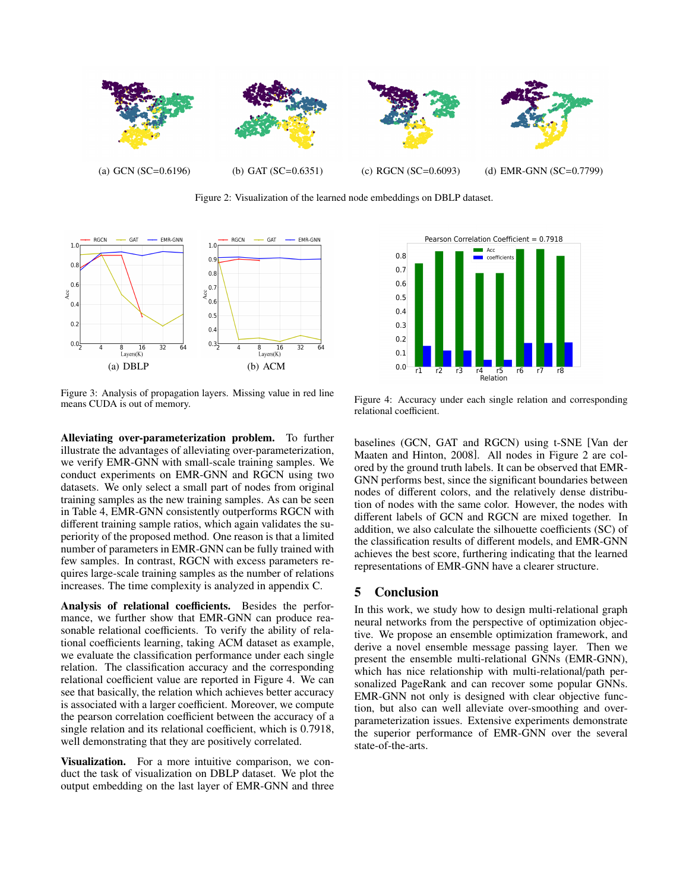<span id="page-5-2"></span>

Figure 2: Visualization of the learned node embeddings on DBLP dataset.

<span id="page-5-0"></span>

Figure 3: Analysis of propagation layers. Missing value in red line means CUDA is out of memory.

Alleviating over-parameterization problem. To further illustrate the advantages of alleviating over-parameterization, we verify EMR-GNN with small-scale training samples. We conduct experiments on EMR-GNN and RGCN using two datasets. We only select a small part of nodes from original training samples as the new training samples. As can be seen in Table [4,](#page-4-2) EMR-GNN consistently outperforms RGCN with different training sample ratios, which again validates the superiority of the proposed method. One reason is that a limited number of parameters in EMR-GNN can be fully trained with few samples. In contrast, RGCN with excess parameters requires large-scale training samples as the number of relations increases. The time complexity is analyzed in appendix C.

Analysis of relational coefficients. Besides the performance, we further show that EMR-GNN can produce reasonable relational coefficients. To verify the ability of relational coefficients learning, taking ACM dataset as example, we evaluate the classification performance under each single relation. The classification accuracy and the corresponding relational coefficient value are reported in Figure [4.](#page-5-1) We can see that basically, the relation which achieves better accuracy is associated with a larger coefficient. Moreover, we compute the pearson correlation coefficient between the accuracy of a single relation and its relational coefficient, which is 0.7918, well demonstrating that they are positively correlated.

Visualization. For a more intuitive comparison, we conduct the task of visualization on DBLP dataset. We plot the output embedding on the last layer of EMR-GNN and three

<span id="page-5-1"></span>

Figure 4: Accuracy under each single relation and corresponding relational coefficient.

baselines (GCN, GAT and RGCN) using t-SNE [\[Van der](#page-6-25) [Maaten and Hinton, 2008\]](#page-6-25). All nodes in Figure [2](#page-5-2) are colored by the ground truth labels. It can be observed that EMR-GNN performs best, since the significant boundaries between nodes of different colors, and the relatively dense distribution of nodes with the same color. However, the nodes with different labels of GCN and RGCN are mixed together. In addition, we also calculate the silhouette coefficients (SC) of the classification results of different models, and EMR-GNN achieves the best score, furthering indicating that the learned representations of EMR-GNN have a clearer structure.

## 5 Conclusion

In this work, we study how to design multi-relational graph neural networks from the perspective of optimization objective. We propose an ensemble optimization framework, and derive a novel ensemble message passing layer. Then we present the ensemble multi-relational GNNs (EMR-GNN), which has nice relationship with multi-relational/path personalized PageRank and can recover some popular GNNs. EMR-GNN not only is designed with clear objective function, but also can well alleviate over-smoothing and overparameterization issues. Extensive experiments demonstrate the superior performance of EMR-GNN over the several state-of-the-arts.